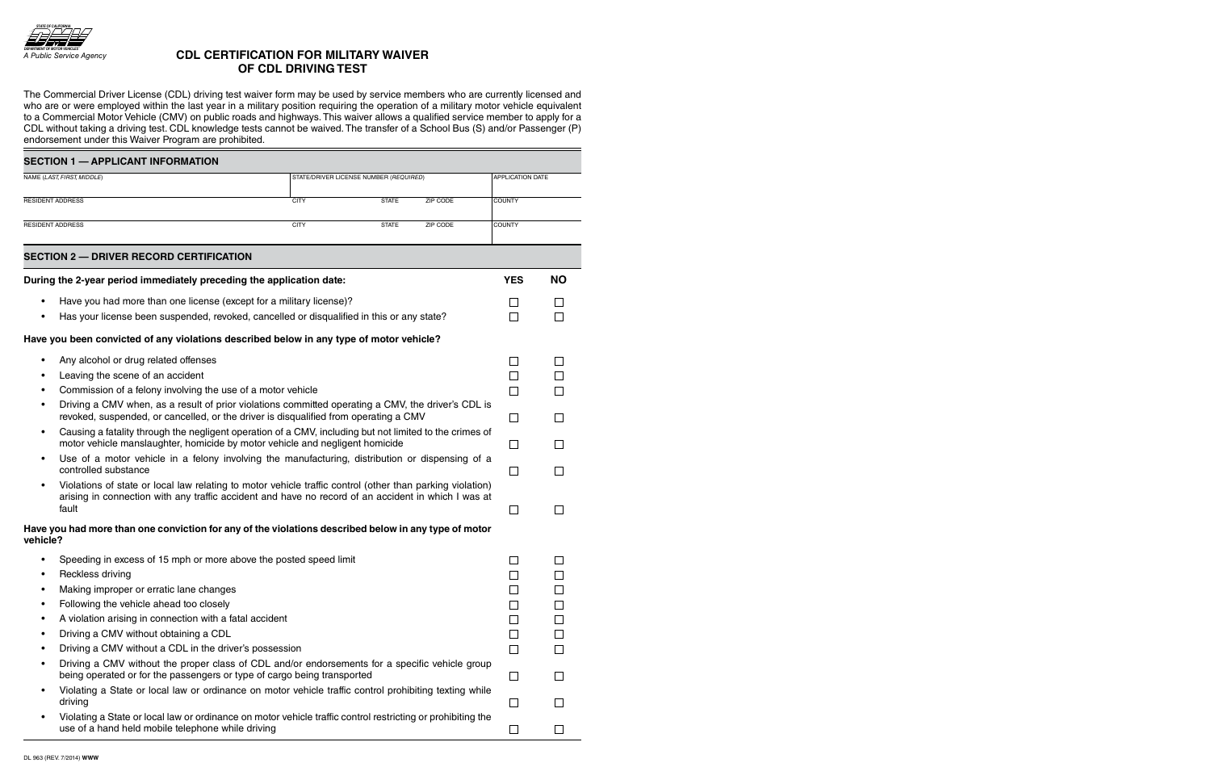

## **CDL CertifiCation for MiLitary Waiver of CDL Driving test**

The Commercial Driver License (CDL) driving test waiver form may be used by service members who are currently licensed and who are or were employed within the last year in a military position requiring the operation of a military motor vehicle equivalent to a Commercial Motor Vehicle (CMV) on public roads and highways. This waiver allows a qualified service member to apply for a CDL without taking a driving test. CDL knowledge tests cannot be waived. The transfer of a School Bus (S) and/or Passenger (P) endorsement under this Waiver Program are prohibited.

| <b>SECTION 1 - APPLICANT INFORMATION</b>                             |                                                                                                                                                                                                                           |                                        |                                         |          |                |                  |  |
|----------------------------------------------------------------------|---------------------------------------------------------------------------------------------------------------------------------------------------------------------------------------------------------------------------|----------------------------------------|-----------------------------------------|----------|----------------|------------------|--|
| NAME (LAST, FIRST, MIDDLE)                                           |                                                                                                                                                                                                                           | STATE/DRIVER LICENSE NUMBER (REQUIRED) |                                         |          |                | APPLICATION DATE |  |
| <b>RESIDENT ADDRESS</b>                                              |                                                                                                                                                                                                                           | <b>CITY</b>                            | <b>STATE</b>                            | ZIP CODE | <b>COUNTY</b>  |                  |  |
| <b>RESIDENT ADDRESS</b>                                              |                                                                                                                                                                                                                           |                                        | ZIP CODE<br><b>CITY</b><br><b>STATE</b> |          |                | <b>COUNTY</b>    |  |
|                                                                      | <b>SECTION 2 - DRIVER RECORD CERTIFICATION</b>                                                                                                                                                                            |                                        |                                         |          |                |                  |  |
| During the 2-year period immediately preceding the application date: |                                                                                                                                                                                                                           |                                        |                                         |          | <b>YES</b>     | <b>NO</b>        |  |
|                                                                      | Have you had more than one license (except for a military license)?                                                                                                                                                       |                                        |                                         |          |                |                  |  |
|                                                                      | Has your license been suspended, revoked, cancelled or disqualified in this or any state?                                                                                                                                 |                                        |                                         |          | $\Box$         |                  |  |
|                                                                      | Have you been convicted of any violations described below in any type of motor vehicle?                                                                                                                                   |                                        |                                         |          |                |                  |  |
| $\bullet$                                                            | Any alcohol or drug related offenses                                                                                                                                                                                      |                                        |                                         |          | $\Box$         |                  |  |
|                                                                      | Leaving the scene of an accident                                                                                                                                                                                          |                                        |                                         |          | $\Box$         |                  |  |
|                                                                      | Commission of a felony involving the use of a motor vehicle                                                                                                                                                               |                                        |                                         |          | $\Box$         |                  |  |
| $\bullet$                                                            | Driving a CMV when, as a result of prior violations committed operating a CMV, the driver's CDL is<br>revoked, suspended, or cancelled, or the driver is disqualified from operating a CMV                                |                                        |                                         |          | $\mathbb{R}^n$ | $\mathbf{L}$     |  |
| $\bullet$                                                            | Causing a fatality through the negligent operation of a CMV, including but not limited to the crimes of<br>motor vehicle manslaughter, homicide by motor vehicle and negligent homicide                                   |                                        |                                         |          | $\Box$         |                  |  |
| $\bullet$                                                            | Use of a motor vehicle in a felony involving the manufacturing, distribution or dispensing of a<br>controlled substance                                                                                                   |                                        |                                         |          | $\Box$         |                  |  |
|                                                                      | Violations of state or local law relating to motor vehicle traffic control (other than parking violation)<br>arising in connection with any traffic accident and have no record of an accident in which I was at<br>fault |                                        |                                         |          | $\mathbf{I}$   |                  |  |
| vehicle?                                                             | Have you had more than one conviction for any of the violations described below in any type of motor                                                                                                                      |                                        |                                         |          |                |                  |  |
|                                                                      | Speeding in excess of 15 mph or more above the posted speed limit                                                                                                                                                         |                                        |                                         |          |                |                  |  |
|                                                                      | Reckless driving                                                                                                                                                                                                          |                                        |                                         |          |                |                  |  |
|                                                                      | Making improper or erratic lane changes                                                                                                                                                                                   |                                        |                                         |          |                |                  |  |
|                                                                      | Following the vehicle ahead too closely                                                                                                                                                                                   |                                        |                                         |          |                |                  |  |
|                                                                      | A violation arising in connection with a fatal accident                                                                                                                                                                   |                                        |                                         |          |                |                  |  |
|                                                                      | Driving a CMV without obtaining a CDL                                                                                                                                                                                     |                                        |                                         |          |                |                  |  |
|                                                                      | Driving a CMV without a CDL in the driver's possession                                                                                                                                                                    |                                        |                                         |          | П              |                  |  |
|                                                                      | Driving a CMV without the proper class of CDL and/or endorsements for a specific vehicle group<br>being operated or for the passengers or type of cargo being transported                                                 |                                        |                                         |          | П              |                  |  |
|                                                                      | Violating a State or local law or ordinance on motor vehicle traffic control prohibiting texting while<br>driving                                                                                                         |                                        |                                         |          | $\Box$         |                  |  |
|                                                                      | Violating a State or local law or ordinance on motor vehicle traffic control restricting or prohibiting the<br>use of a hand held mobile telephone while driving                                                          |                                        |                                         |          | $\mathbb{R}^n$ |                  |  |